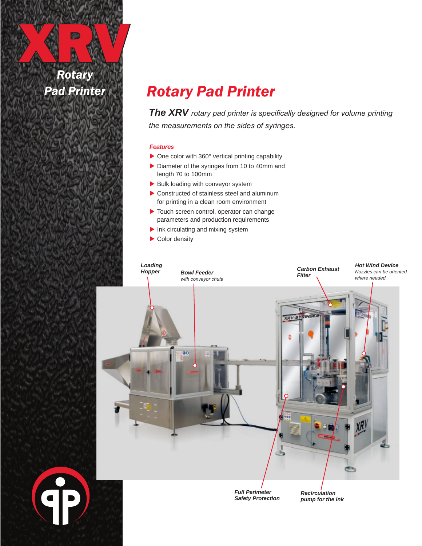XXX *Rotary Pad Printer*

**CP** 

## *Rotary Pad Printer*

*The XRV rotary pad printer is specifically designed for volume printing the measurements on the sides of syringes.*

#### *Features*

- $\triangleright$  One color with 360 $^{\circ}$  vertical printing capability
- $\triangleright$  Diameter of the syringes from 10 to 40mm and length 70 to 100mm
- $\blacktriangleright$  Bulk loading with conveyor system
- $\triangleright$  Constructed of stainless steel and aluminum for printing in a clean room environment
- $\blacktriangleright$  Touch screen control, operator can change parameters and production requirements
- $\blacktriangleright$  Ink circulating and mixing system
- $\blacktriangleright$  Color density



*Full Perimeter Safety Protection*

*Recirculation pump for the ink*